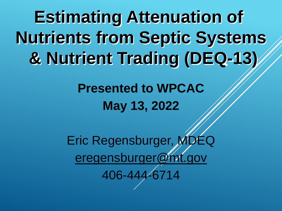**Estimating Attenuation of Nutrients from Septic Systems & Nutrient Trading (DEQ-13)**

> **Presented to WPCAC May 13, 2022**

Eric Regensburger, MDEQ [eregensburger@mt.gov](mailto:eregensburger@mt.gov) 406-444-6714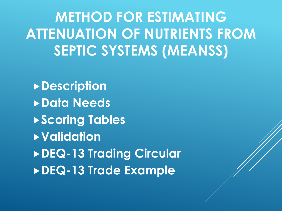**METHOD FOR ESTIMATING ATTENUATION OF NUTRIENTS FROM SEPTIC SYSTEMS (MEANSS)**

**Description Data Needs Scoring Tables Validation DEQ-13 Trading Circular DEQ-13 Trade Example**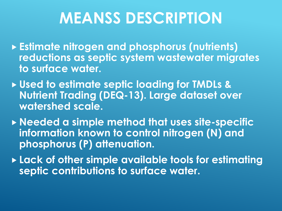# **MEANSS DESCRIPTION**

- **Estimate nitrogen and phosphorus (nutrients) reductions as septic system wastewater migrates to surface water.**
- **Used to estimate septic loading for TMDLs & Nutrient Trading (DEQ-13). Large dataset over watershed scale.**
- **Needed a simple method that uses site-specific information known to control nitrogen (N) and phosphorus (P) attenuation.**
- **Lack of other simple available tools for estimating septic contributions to surface water.**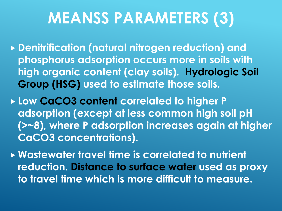# **MEANSS PARAMETERS (3)**

- **Denitrification (natural nitrogen reduction) and phosphorus adsorption occurs more in soils with high organic content (clay soils). Hydrologic Soil Group (HSG) used to estimate those soils.**
- **Low CaCO3 content correlated to higher P adsorption (except at less common high soil pH (>~8), where P adsorption increases again at higher CaCO3 concentrations).**
- **Wastewater travel time is correlated to nutrient reduction. Distance to surface water used as proxy to travel time which is more difficult to measure.**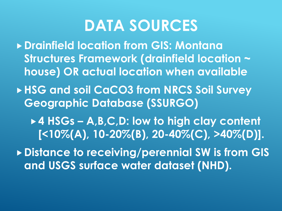#### **DATA SOURCES**

- **Drainfield location from GIS: Montana Structures Framework (drainfield location ~ house) OR actual location when available**
- ▶ HSG and soil CaCO3 from NRCS Soil Survey **Geographic Database (SSURGO)**
	- **4 HSGs – A,B,C,D: low to high clay content [<10%(A), 10-20%(B), 20-40%(C), >40%(D)].**

**Distance to receiving/perennial SW is from GIS and USGS surface water dataset (NHD).**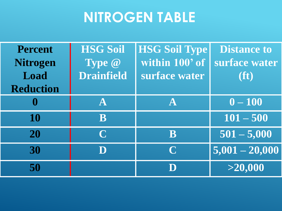#### **NITROGEN TABLE**

| <b>Percent</b>   | <b>HSG Soil</b>   | <b>HSG Soil Type</b> | <b>Distance to</b> |
|------------------|-------------------|----------------------|--------------------|
| <b>Nitrogen</b>  | Type @            | within 100' of       | surface water      |
| Load             | <b>Drainfield</b> | surface water        | (ft)               |
| <b>Reduction</b> |                   |                      |                    |
| $\boldsymbol{0}$ | $\mathbf{A}$      | $\mathbf{A}$         | $0 - 100$          |
| 10               | B                 |                      | $101 - 500$        |
| 20               | $\mathbf C$       | $\, {\bf B} \,$      | $501 - 5,000$      |
| 30               |                   | $\mathbf C$          | $5,001 - 20,000$   |
| 50               |                   |                      | >20,000            |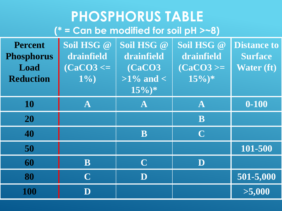#### **PHOSPHORUS TABLE (\* = Can be modified for soil pH >~8)**

| <b>Percent</b><br><b>Phosphorus</b><br>Load<br><b>Reduction</b> | Soil HSG @<br><b>drainfield</b><br>$(CaCO3 \leq$<br>$1\%)$ | Soil HSG @<br>drainfield<br>(CaCO3<br>$>1\%$ and $<$<br>$15\%)*$ | Soil HSG @<br>drainfield<br>$(CaCO3 >=$<br>$\sqrt{15\%}$ * | <b>Distance to</b><br><b>Surface</b><br><b>Water (ft)</b> |
|-----------------------------------------------------------------|------------------------------------------------------------|------------------------------------------------------------------|------------------------------------------------------------|-----------------------------------------------------------|
| 10                                                              | $\mathbf A$                                                | ${\bf A}$                                                        | $\mathbf{A}$                                               | $0 - 100$                                                 |
| 20                                                              |                                                            |                                                                  | B                                                          |                                                           |
| 40                                                              |                                                            | B                                                                | $\overline{\mathbf{C}}$                                    |                                                           |
| 50                                                              |                                                            |                                                                  |                                                            | 101-500                                                   |
| 60                                                              | ${\bf B}$                                                  | $\overline{\mathbf{C}}$                                          | D                                                          |                                                           |
| 80                                                              | $\overline{\mathbf{C}}$                                    | $\overline{\mathbf{D}}$                                          |                                                            | 501-5,000                                                 |
| 100                                                             | $\overline{\mathbf{D}}$                                    |                                                                  |                                                            | >5,000                                                    |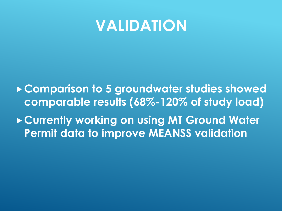#### **VALIDATION**

**Comparison to 5 groundwater studies showed comparable results (68%-120% of study load) Currently working on using MT Ground Water Permit data to improve MEANSS validation**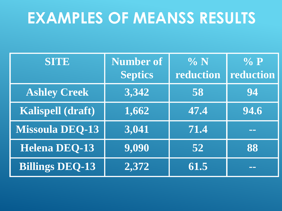# **EXAMPLES OF MEANSS RESULTS**

| <b>SITE</b>            | <b>Number of</b> | $\% N$    | $\%$ P        |
|------------------------|------------------|-----------|---------------|
|                        | Septics          | reduction | reduction     |
| <b>Ashley Creek</b>    | 3,342            | 58        | 94            |
| Kalispell (draft)      | 1,662            | 47.4      | 94.6          |
| <b>Missoula DEQ-13</b> | 3,041            | 71.4      | <u>rana a</u> |
| <b>Helena DEQ-13</b>   | 9,090            | 52        | 88            |
| <b>Billings DEQ-13</b> | 2,372            | 61.5      | <b>TTT</b>    |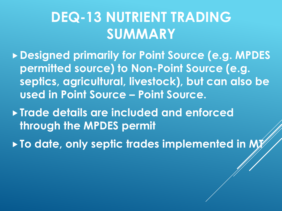#### **DEQ-13 NUTRIENT TRADING SUMMARY**

**Designed primarily for Point Source (e.g. MPDES permitted source) to Non-Point Source (e.g. septics, agricultural, livestock), but can also be used in Point Source – Point Source.**

**Trade details are included and enforced through the MPDES permit**

**To date, only septic trades implemented in MY**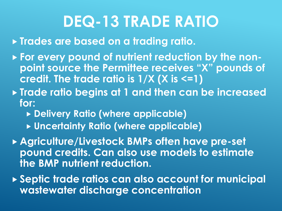# **DEQ-13 TRADE RATIO**

**Trades are based on a trading ratio.**

- **For every pound of nutrient reduction by the nonpoint source the Permittee receives "X" pounds of credit. The trade ratio is 1/X (X is <=1)**
- **Trade ratio begins at 1 and then can be increased for:**
	- **Delivery Ratio (where applicable)**
	- **Uncertainty Ratio (where applicable)**
- **Agriculture/Livestock BMPs often have pre-set pound credits. Can also use models to estimate the BMP nutrient reduction.**
- **Septic trade ratios can also account for municipal wastewater discharge concentration**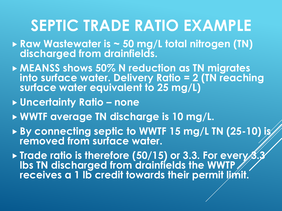#### **SEPTIC TRADE RATIO EXAMPLE**

- **Raw Wastewater is ~ 50 mg/L total nitrogen (TN) discharged from drainfields.**
- **MEANSS shows 50% N reduction as TN migrates into surface water. Delivery Ratio = 2 (TN reaching surface water equivalent to 25 mg/L)**
- **Uncertainty Ratio – none**
- **WWTF average TN discharge is 10 mg/L.**
- ▶ By connecting septic to WWTF 15 mg/L TN (25-10) is **removed from surface water.**
- **Trade ratio is therefore (50/15) or 3.3. For every 3. lbs TN discharged from drainfields the WWTP receives a 1 lb credit towards their permit limit.**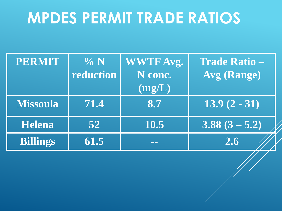# **MPDES PERMIT TRADE RATIOS**

| <b>PERMIT</b>   | $\% N$<br>reduction | <b>WWTF Avg.</b><br>N conc.<br>(mg/L) | <b>Trade Ratio -</b><br><b>Avg (Range)</b> |
|-----------------|---------------------|---------------------------------------|--------------------------------------------|
| <b>Missoula</b> | 71.4                | 8.7                                   | $\overline{13.9(2-31)}$                    |
| Helena          | 52                  | 10.5                                  | $3.88(3 - 5.2)$                            |
| <b>Billings</b> | 61.5                |                                       | 2.6                                        |